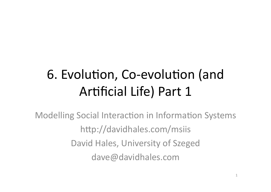## 6. Evolution, Co-evolution (and Artificial Life) Part 1

**Modelling Social Interaction in Information Systems** http://davidhales.com/msiis David Hales, University of Szeged dave@davidhales.com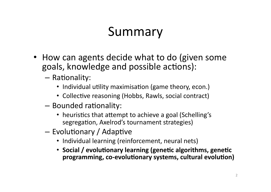#### Summary

- How can agents decide what to do (given some goals, knowledge and possible actions):
	- Rationality:
		- Individual utility maximisation (game theory, econ.)
		- Collective reasoning (Hobbs, Rawls, social contract)
	- Bounded rationality:
		- heuristics that attempt to achieve a goal (Schelling's segregation, Axelrod's tournament strategies)
	- Evolutionary / Adaptive
		- Individual learning (reinforcement, neural nets)
		- Social / evolutionary learning (genetic algorithms, genetic programming, co-evolutionary systems, cultural evolution)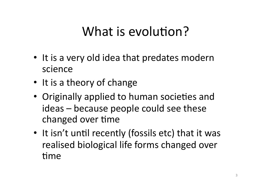#### What is evolution?

- It is a very old idea that predates modern science
- It is a theory of change
- Originally applied to human societies and ideas – because people could see these changed over time
- It isn't until recently (fossils etc) that it was realised biological life forms changed over time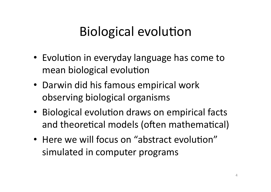### Biological evolution

- Evolution in everyday language has come to mean biological evolution
- Darwin did his famous empirical work observing biological organisms
- Biological evolution draws on empirical facts and theoretical models (often mathematical)
- Here we will focus on "abstract evolution" simulated in computer programs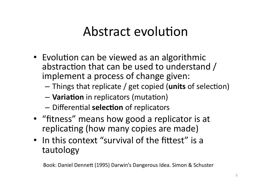#### Abstract evolution

- Evolution can be viewed as an algorithmic abstraction that can be used to understand / implement a process of change given:
	- Things that replicate / get copied (units of selection)
	- Variation in replicators (mutation)
	- Differential selection of replicators
- "fitness" means how good a replicator is at replicating (how many copies are made)
- In this context "survival of the fittest" is a tautology

Book: Daniel Dennett (1995) Darwin's Dangerous Idea. Simon & Schuster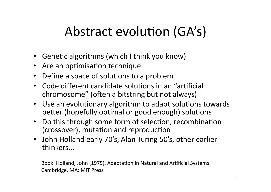## Abstract evolution (GA's)

- Genetic algorithms (which I think you know)
- Are an optimisation technique
- Define a space of solutions to a problem  $\bullet$
- Code different candidate solutions in an "artificial  $\bullet$ chromosome" (often a bitstring but not always)
- Use an evolutionary algorithm to adapt solutions towards better (hopefully optimal or good enough) solutions
- Do this through some form of selection, recombination  $\bullet$ (crossover), mutation and reproduction
- John Holland early 70's, Alan Turing 50's, other earlier thinkers...

Book: Holland, John (1975). Adaptation in Natural and Artificial Systems. Cambridge, MA: MIT Press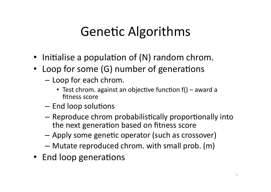## **Genetic Algorithms**

- Initialise a population of (N) random chrom.
- Loop for some (G) number of generations
	- Loop for each chrom.
		- Test chrom. against an objective function  $f()$  award a fitness score
	- End loop solutions
	- Reproduce chrom probabilistically proportionally into the next generation based on fitness score
	- Apply some genetic operator (such as crossover)
	- Mutate reproduced chrom. with small prob. (m)
- End loop generations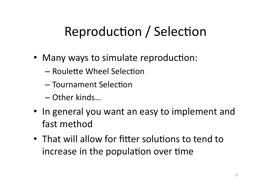## Reproduction / Selection

- Many ways to simulate reproduction:
	- Roulette Wheel Selection
	- Tournament Selection
	- Other kinds...
- In general you want an easy to implement and fast method
- That will allow for fitter solutions to tend to increase in the population over time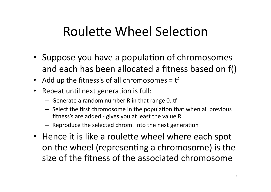#### Roulette Wheel Selection

- Suppose you have a population of chromosomes and each has been allocated a fitness based on f()
- Add up the fitness's of all chromosomes = tf
- Repeat until next generation is full:  $\bullet$ 
	- Generate a random number R in that range  $0..$ tf
	- Select the first chromosome in the population that when all previous fitness's are added - gives you at least the value R
	- Reproduce the selected chrom. Into the next generation
- Hence it is like a roulette wheel where each spot on the wheel (representing a chromosome) is the size of the fitness of the associated chromosome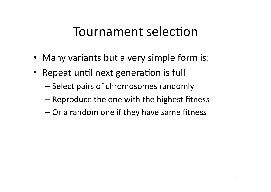#### Tournament selection

- Many variants but a very simple form is:
- Repeat until next generation is full
	- $-$  Select pairs of chromosomes randomly
	- $-$  Reproduce the one with the highest fitness
	- $-$  Or a random one if they have same fitness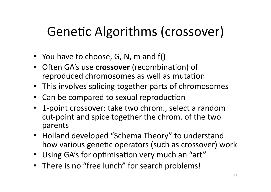## Genetic Algorithms (crossover)

- You have to choose, G, N, m and  $f()$
- Often GA's use **crossover** (recombination) of reproduced chromosomes as well as mutation
- This involves splicing together parts of chromosomes
- Can be compared to sexual reproduction
- 1-point crossover: take two chrom., select a random cut-point and spice together the chrom. of the two parents#
- Holland developed "Schema Theory" to understand how various genetic operators (such as crossover) work
- Using GA's for optimisation very much an "art"
- There is no "free lunch" for search problems!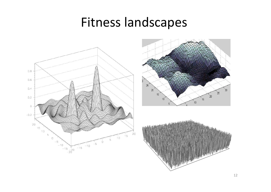#### Fitness landscapes





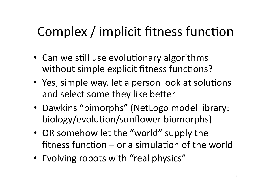## Complex / implicit fitness function

- Can we still use evolutionary algorithms without simple explicit fitness functions?
- Yes, simple way, let a person look at solutions and select some they like better
- Dawkins "bimorphs" (NetLogo model library: biology/evolution/sunflower biomorphs)
- OR somehow let the "world" supply the fitness function - or a simulation of the world
- Evolving robots with "real physics"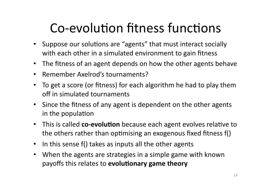## Co-evolution fitness functions

- Suppose our solutions are "agents" that must interact socially with each other in a simulated environment to gain fitness
- The fitness of an agent depends on how the other agents behave
- Remember Axelrod's tournaments?
- To get a score (or fitness) for each algorithm he had to play them off in simulated tournaments
- Since the fitness of any agent is dependent on the other agents in the population
- This is called co-evolution because each agent evolves relative to the others rather than optimising an exogenous fixed fitness  $f()$
- In this sense  $f()$  takes as inputs all the other agents
- When the agents are strategies in a simple game with known payoffs this relates to **evolutionary game theory**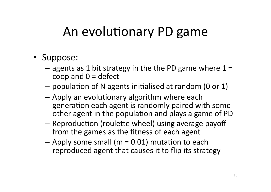#### An evolutionary PD game

- Suppose:
	- agents as 1 bit strategy in the the PD game where  $1 =$ coop and  $0 =$  defect
	- population of N agents initialised at random (0 or 1)
	- Apply an evolutionary algorithm where each generation each agent is randomly paired with some other agent in the population and plays a game of PD
	- Reproduction (roulette wheel) using average payoff from the games as the fitness of each agent
	- $-$  Apply some small (m = 0.01) mutation to each reproduced agent that causes it to flip its strategy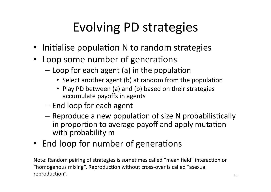# Evolving PD strategies

- Initialise population N to random strategies
- Loop some number of generations
	- $-$  Loop for each agent (a) in the population
		- Select another agent (b) at random from the population
		- Play PD between (a) and (b) based on their strategies accumulate payoffs in agents
	- $-$  End loop for each agent
	- $-$  Reproduce a new population of size N probabilistically in proportion to average payoff and apply mutation with probability m
- End loop for number of generations

Note: Random pairing of strategies is sometimes called "mean field" interaction or "homogenous mixing". Reproduction without cross-over is called "asexual  $reproduction''.$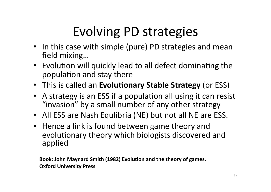# Evolving PD strategies

- In this case with simple (pure) PD strategies and mean field mixing...
- Evolution will quickly lead to all defect dominating the  $\overline{ }$ population and stay there
- This is called an Evolutionary Stable Strategy (or ESS)
- A strategy is an ESS if a population all using it can resist "invasion" by a small number of any other strategy
- All ESS are Nash Equlibria (NE) but not all NE are ESS.
- Hence a link is found between game theory and evolutionary theory which biologists discovered and applied#

Book: John Maynard Smith (1982) Evolution and the theory of games. **Oxford University Press**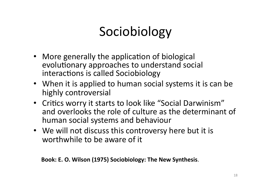## Sociobiology

- More generally the application of biological evolutionary approaches to understand social interactions is called Sociobiology
- When it is applied to human social systems it is can be highly controversial
- Critics worry it starts to look like "Social Darwinism" and overlooks the role of culture as the determinant of human social systems and behaviour
- We will not discuss this controversy here but it is worthwhile to be aware of it

Book: E. O. Wilson (1975) Sociobiology: The New Synthesis.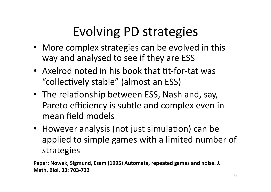## Evolving PD strategies

- More complex strategies can be evolved in this way and analysed to see if they are ESS
- Axelrod noted in his book that tit-for-tat was "collectively stable" (almost an ESS)
- The relationship between ESS, Nash and, say, Pareto efficiency is subtle and complex even in mean field models
- However analysis (not just simulation) can be applied to simple games with a limited number of strategies

Paper: Nowak, Sigmund, Esam (1995) Automata, repeated games and noise. J. **Math. Biol. 33: 703-722**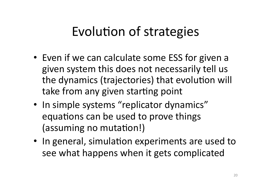#### Evolution of strategies

- Even if we can calculate some ESS for given a given system this does not necessarily tell us the dynamics (trajectories) that evolution will take from any given starting point
- In simple systems "replicator dynamics" equations can be used to prove things (assuming no mutation!)
- In general, simulation experiments are used to see what happens when it gets complicated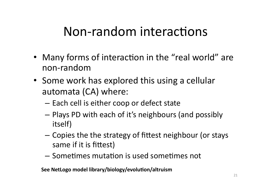#### Non-random interactions

- Many forms of interaction in the "real world" are non-random#
- Some work has explored this using a cellular automata  $(CA)$  where:
	- $-$  Each cell is either coop or defect state
	- Plays PD with each of it's neighbours (and possibly itself)
	- $-$  Copies the the strategy of fittest neighbour (or stays same if it is fittest)
	- $-$  Sometimes mutation is used sometimes not

See NetLogo model library/biology/evolution/altruism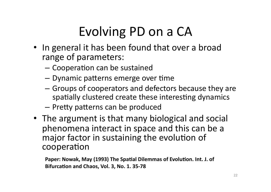# Evolving PD on a CA

- In general it has been found that over a broad range of parameters:
	- Cooperation can be sustained
	- Dynamic patterns emerge over time
	- Groups of cooperators and defectors because they are spatially clustered create these interesting dynamics
	- Pretty patterns can be produced
- The argument is that many biological and social phenomena interact in space and this can be a major factor in sustaining the evolution of cooperation

Paper: Nowak, May (1993) The Spatial Dilemmas of Evolution. Int. J. of Bifurcation and Chaos, Vol. 3, No. 1. 35-78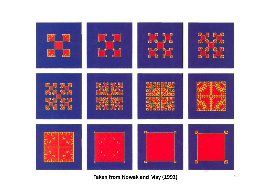

Taken from Nowak and May (1992)<sup>23</sup>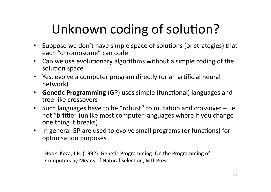## Unknown coding of solution?

- Suppose we don't have simple space of solutions (or strategies) that each "chromosome" can code
- Can we use evolutionary algorithms without a simple coding of the  $\overline{ }$ solution space?
- Yes, evolve a computer program directly (or an artificial neural network)
- **Genetic Programming** (GP) uses simple (functional) languages and tree-like crossovers
- Such languages have to be "robust" to mutation and crossover  $-$  i.e. not "brittle" (unlike most computer languages where if you change one thing it breaks)
- In general GP are used to evolve small programs (or functions) for optimisation purposes

Book: Koza, J.R. (1992). Genetic Programming: On the Programming of Computers by Means of Natural Selection, MIT Press.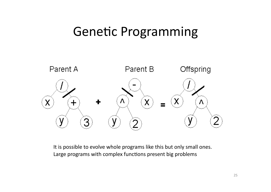#### Genetic Programming



It is possible to evolve whole programs like this but only small ones. Large programs with complex functions present big problems